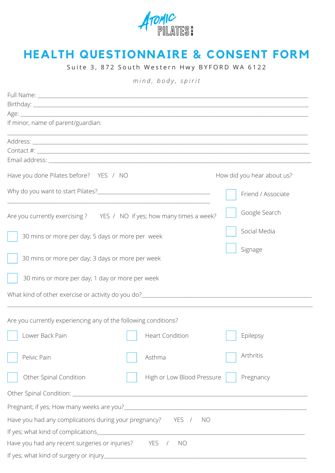

## **HEALTH QUESTIONNAIRE & CONSENT FORM**

Suite 3, 872 South Western Hwy BYFORD WA 6122

*m i n d , b o d y , s p i r i t*

| If minor, name of parent/guardian:                                                                                    |                            |  |  |
|-----------------------------------------------------------------------------------------------------------------------|----------------------------|--|--|
| <u> 1989 - Johann Harry Harry Harry Harry Harry Harry Harry Harry Harry Harry Harry Harry Harry Harry Harry Harry</u> |                            |  |  |
|                                                                                                                       |                            |  |  |
|                                                                                                                       |                            |  |  |
| Have you done Pilates before? YES / NO                                                                                | How did you hear about us? |  |  |
|                                                                                                                       | Friend / Associate         |  |  |
| Are you currently exercising ? YES / NO if yes; how many times a week?                                                | Google Search              |  |  |
| 30 mins or more per day; 5 days or more per week                                                                      | Social Media               |  |  |
| 30 mins or more per day; 3 days or more per week                                                                      | Signage                    |  |  |
| 30 mins or more per day; 1 day or more per week                                                                       |                            |  |  |
|                                                                                                                       |                            |  |  |
| Are you currently experiencing any of the following conditions?                                                       |                            |  |  |
| Lower Back Pain<br><b>Heart Condition</b>                                                                             | Epilepsy                   |  |  |
| Pelvic Pain<br>Asthma                                                                                                 | Arthritis                  |  |  |
| Other Spinal Condition<br>High or Low Blood Pressure                                                                  | Pregnancy                  |  |  |
|                                                                                                                       |                            |  |  |
|                                                                                                                       |                            |  |  |
| Have you had any complications during your pregnancy?<br>YES /<br>NO.                                                 |                            |  |  |
|                                                                                                                       |                            |  |  |
| <b>YES</b><br>Have you had any recent surgeries or injuries?<br><b>NO</b><br>$\sqrt{2}$                               |                            |  |  |
| If yes; what kind of surgery or injury_                                                                               |                            |  |  |